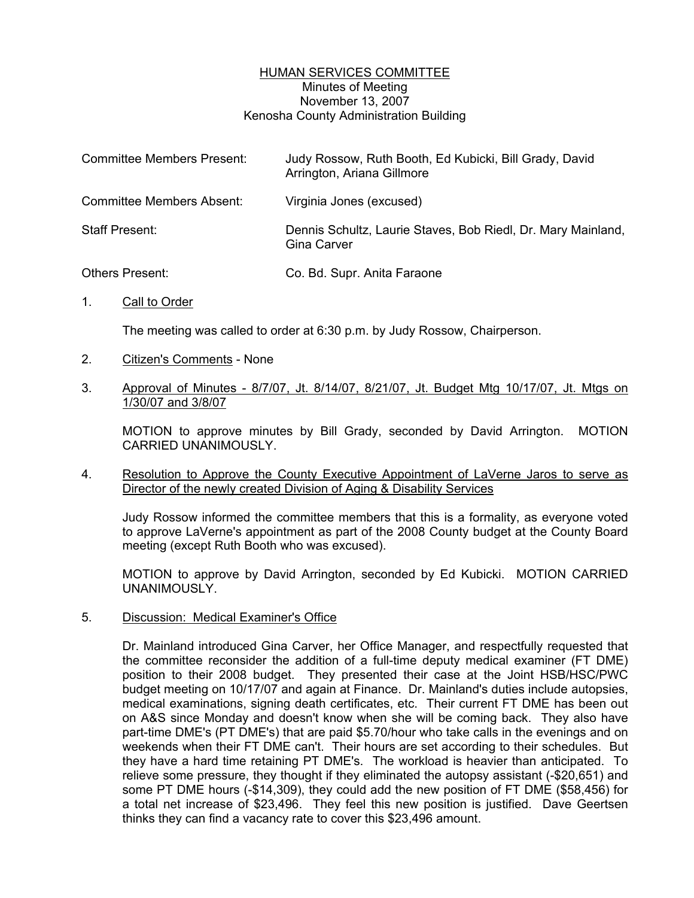## HUMAN SERVICES COMMITTEE Minutes of Meeting November 13, 2007 Kenosha County Administration Building

| <b>Committee Members Present:</b> | Judy Rossow, Ruth Booth, Ed Kubicki, Bill Grady, David<br>Arrington, Ariana Gillmore |
|-----------------------------------|--------------------------------------------------------------------------------------|
| <b>Committee Members Absent:</b>  | Virginia Jones (excused)                                                             |
| Staff Present:                    | Dennis Schultz, Laurie Staves, Bob Riedl, Dr. Mary Mainland,<br>Gina Carver          |
| <b>Others Present:</b>            | Co. Bd. Supr. Anita Faraone                                                          |

1. Call to Order

The meeting was called to order at 6:30 p.m. by Judy Rossow, Chairperson.

- 2. Citizen's Comments None
- 3. Approval of Minutes 8/7/07, Jt. 8/14/07, 8/21/07, Jt. Budget Mtg 10/17/07, Jt. Mtgs on 1/30/07 and 3/8/07

MOTION to approve minutes by Bill Grady, seconded by David Arrington. MOTION CARRIED UNANIMOUSLY.

4. Resolution to Approve the County Executive Appointment of LaVerne Jaros to serve as Director of the newly created Division of Aging & Disability Services

Judy Rossow informed the committee members that this is a formality, as everyone voted to approve LaVerne's appointment as part of the 2008 County budget at the County Board meeting (except Ruth Booth who was excused).

MOTION to approve by David Arrington, seconded by Ed Kubicki. MOTION CARRIED UNANIMOUSLY.

5. Discussion: Medical Examiner's Office

Dr. Mainland introduced Gina Carver, her Office Manager, and respectfully requested that the committee reconsider the addition of a full-time deputy medical examiner (FT DME) position to their 2008 budget. They presented their case at the Joint HSB/HSC/PWC budget meeting on 10/17/07 and again at Finance. Dr. Mainland's duties include autopsies, medical examinations, signing death certificates, etc. Their current FT DME has been out on A&S since Monday and doesn't know when she will be coming back. They also have part-time DME's (PT DME's) that are paid \$5.70/hour who take calls in the evenings and on weekends when their FT DME can't. Their hours are set according to their schedules. But they have a hard time retaining PT DME's. The workload is heavier than anticipated. To relieve some pressure, they thought if they eliminated the autopsy assistant (-\$20,651) and some PT DME hours (-\$14,309), they could add the new position of FT DME (\$58,456) for a total net increase of \$23,496. They feel this new position is justified. Dave Geertsen thinks they can find a vacancy rate to cover this \$23,496 amount.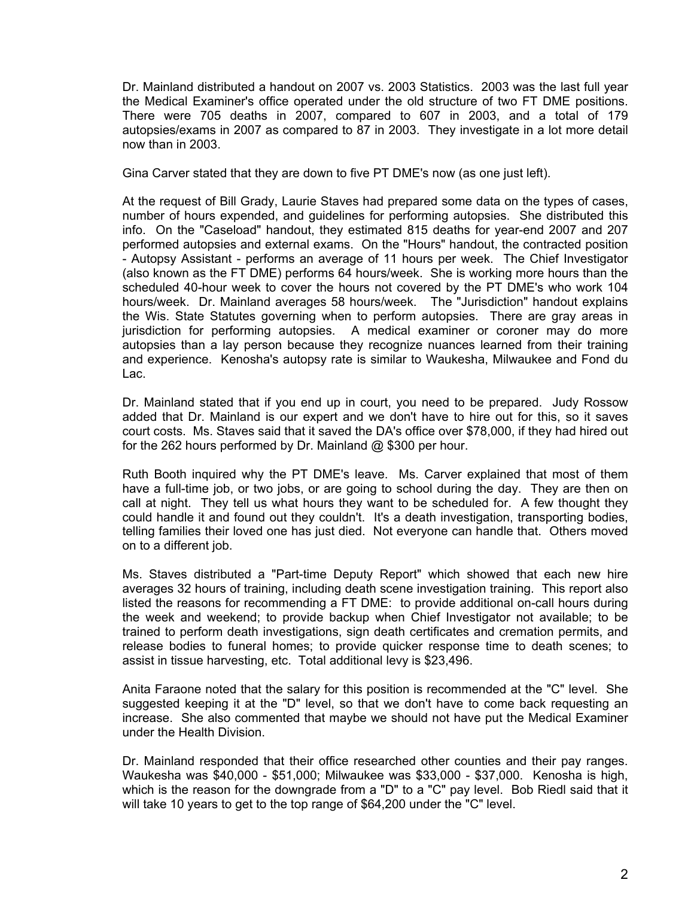Dr. Mainland distributed a handout on 2007 vs. 2003 Statistics. 2003 was the last full year the Medical Examiner's office operated under the old structure of two FT DME positions. There were 705 deaths in 2007, compared to 607 in 2003, and a total of 179 autopsies/exams in 2007 as compared to 87 in 2003. They investigate in a lot more detail now than in 2003.

Gina Carver stated that they are down to five PT DME's now (as one just left).

At the request of Bill Grady, Laurie Staves had prepared some data on the types of cases, number of hours expended, and guidelines for performing autopsies. She distributed this info. On the "Caseload" handout, they estimated 815 deaths for year-end 2007 and 207 performed autopsies and external exams. On the "Hours" handout, the contracted position - Autopsy Assistant - performs an average of 11 hours per week. The Chief Investigator (also known as the FT DME) performs 64 hours/week. She is working more hours than the scheduled 40-hour week to cover the hours not covered by the PT DME's who work 104 hours/week. Dr. Mainland averages 58 hours/week. The "Jurisdiction" handout explains the Wis. State Statutes governing when to perform autopsies. There are gray areas in jurisdiction for performing autopsies. A medical examiner or coroner may do more autopsies than a lay person because they recognize nuances learned from their training and experience. Kenosha's autopsy rate is similar to Waukesha, Milwaukee and Fond du Lac.

Dr. Mainland stated that if you end up in court, you need to be prepared. Judy Rossow added that Dr. Mainland is our expert and we don't have to hire out for this, so it saves court costs. Ms. Staves said that it saved the DA's office over \$78,000, if they had hired out for the 262 hours performed by Dr. Mainland @ \$300 per hour.

Ruth Booth inquired why the PT DME's leave. Ms. Carver explained that most of them have a full-time job, or two jobs, or are going to school during the day. They are then on call at night. They tell us what hours they want to be scheduled for. A few thought they could handle it and found out they couldn't. It's a death investigation, transporting bodies, telling families their loved one has just died. Not everyone can handle that. Others moved on to a different job.

Ms. Staves distributed a "Part-time Deputy Report" which showed that each new hire averages 32 hours of training, including death scene investigation training. This report also listed the reasons for recommending a FT DME: to provide additional on-call hours during the week and weekend; to provide backup when Chief Investigator not available; to be trained to perform death investigations, sign death certificates and cremation permits, and release bodies to funeral homes; to provide quicker response time to death scenes; to assist in tissue harvesting, etc. Total additional levy is \$23,496.

Anita Faraone noted that the salary for this position is recommended at the "C" level. She suggested keeping it at the "D" level, so that we don't have to come back requesting an increase. She also commented that maybe we should not have put the Medical Examiner under the Health Division.

Dr. Mainland responded that their office researched other counties and their pay ranges. Waukesha was \$40,000 - \$51,000; Milwaukee was \$33,000 - \$37,000. Kenosha is high, which is the reason for the downgrade from a "D" to a "C" pay level. Bob Riedl said that it will take 10 years to get to the top range of \$64,200 under the "C" level.